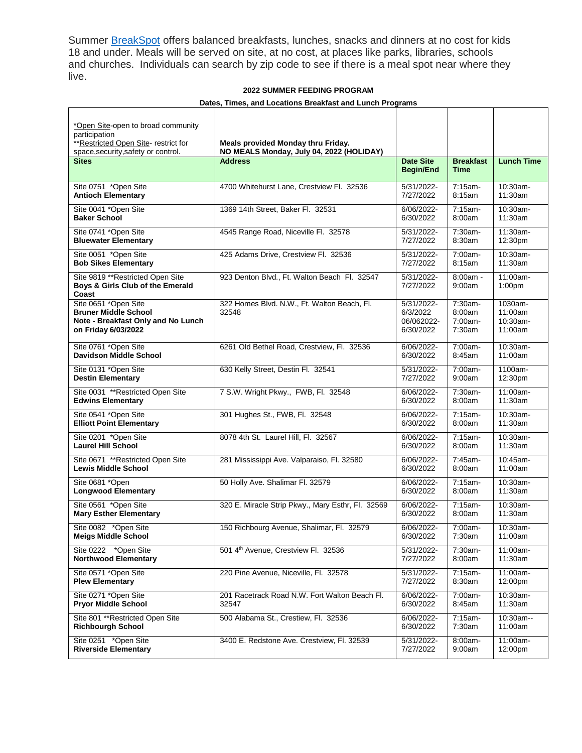Summer **[BreakSpot](https://www.summerbreakspot.org/)** offers balanced breakfasts, lunches, snacks and dinners at no cost for kids 18 and under. Meals will be served on site, at no cost, at places like parks, libraries, schools and churches. Individuals can search by zip code to see if there is a meal spot near where they live.

## **2022 SUMMER FEEDING PROGRAM**

## **Dates, Times, and Locations Breakfast and Lunch Programs**

| *Open Site-open to broad community<br>participation<br>** Restricted Open Site- restrict for<br>space, security, safety or control. | Meals provided Monday thru Friday.<br>NO MEALS Monday, July 04, 2022 (HOLIDAY) |                                                   |                                        |                                           |
|-------------------------------------------------------------------------------------------------------------------------------------|--------------------------------------------------------------------------------|---------------------------------------------------|----------------------------------------|-------------------------------------------|
| <b>Sites</b>                                                                                                                        | <b>Address</b>                                                                 | <b>Date Site</b><br><b>Begin/End</b>              | <b>Breakfast</b><br><b>Time</b>        | <b>Lunch Time</b>                         |
| Site 0751 *Open Site                                                                                                                | 4700 Whitehurst Lane, Crestview Fl. 32536                                      | 5/31/2022-                                        | 7:15am-                                | 10:30am-                                  |
| <b>Antioch Elementary</b>                                                                                                           |                                                                                | 7/27/2022                                         | 8:15am                                 | 11:30am                                   |
| Site 0041 *Open Site                                                                                                                | 1369 14th Street, Baker Fl. 32531                                              | 6/06/2022-                                        | 7:15am-                                | 10:30am-                                  |
| <b>Baker School</b>                                                                                                                 |                                                                                | 6/30/2022                                         | 8:00am                                 | 11:30am                                   |
| Site 0741 *Open Site                                                                                                                | 4545 Range Road, Niceville Fl. 32578                                           | 5/31/2022-                                        | 7:30am-                                | 11:30am-                                  |
| <b>Bluewater Elementary</b>                                                                                                         |                                                                                | 7/27/2022                                         | 8:30am                                 | 12:30pm                                   |
| Site 0051 *Open Site                                                                                                                | 425 Adams Drive, Crestview Fl. 32536                                           | 5/31/2022-                                        | 7:00am-                                | 10:30am-                                  |
| <b>Bob Sikes Elementary</b>                                                                                                         |                                                                                | 7/27/2022                                         | 8:15am                                 | 11:30am                                   |
| Site 9819 ** Restricted Open Site<br>Boys & Girls Club of the Emerald<br>Coast                                                      | 923 Denton Blvd., Ft. Walton Beach Fl. 32547                                   | 5/31/2022-<br>7/27/2022                           | $8:00am -$<br>9:00am                   | 11:00am-<br>1:00 <sub>pm</sub>            |
| Site 0651 *Open Site<br><b>Bruner Middle School</b><br>Note - Breakfast Only and No Lunch<br>on Friday 6/03/2022                    | 322 Homes Blvd. N.W., Ft. Walton Beach, Fl.<br>32548                           | 5/31/2022-<br>6/3/2022<br>06/062022-<br>6/30/2022 | 7:30am-<br>8:00am<br>7:00am-<br>7:30am | 1030am-<br>11:00am<br>10:30am-<br>11:00am |
| Site 0761 *Open Site                                                                                                                | 6261 Old Bethel Road, Crestview, Fl. 32536                                     | 6/06/2022-                                        | 7:00am-                                | 10:30am-                                  |
| <b>Davidson Middle School</b>                                                                                                       |                                                                                | 6/30/2022                                         | 8:45am                                 | 11:00am                                   |
| Site 0131 *Open Site                                                                                                                | 630 Kelly Street, Destin Fl. 32541                                             | 5/31/2022-                                        | 7:00am-                                | 1100am-                                   |
| <b>Destin Elementary</b>                                                                                                            |                                                                                | 7/27/2022                                         | 9:00am                                 | 12:30pm                                   |
| Site 0031 ** Restricted Open Site                                                                                                   | 7 S.W. Wright Pkwy., FWB, Fl. 32548                                            | 6/06/2022-                                        | 7:30am-                                | 11:00am-                                  |
| <b>Edwins Elementary</b>                                                                                                            |                                                                                | 6/30/2022                                         | 8:00am                                 | 11:30am                                   |
| Site 0541 *Open Site                                                                                                                | 301 Hughes St., FWB, Fl. 32548                                                 | 6/06/2022-                                        | 7:15am-                                | $10:30$ am-                               |
| <b>Elliott Point Elementary</b>                                                                                                     |                                                                                | 6/30/2022                                         | 8:00am                                 | 11:30am                                   |
| Site 0201 *Open Site                                                                                                                | 8078 4th St. Laurel Hill, Fl. 32567                                            | 6/06/2022-                                        | 7:15am-                                | 10:30am-                                  |
| <b>Laurel Hill School</b>                                                                                                           |                                                                                | 6/30/2022                                         | 8:00am                                 | 11:30am                                   |
| Site 0671 ** Restricted Open Site                                                                                                   | 281 Mississippi Ave. Valparaiso, Fl. 32580                                     | 6/06/2022-                                        | 7:45am-                                | 10:45am-                                  |
| <b>Lewis Middle School</b>                                                                                                          |                                                                                | 6/30/2022                                         | 8:00am                                 | 11:00am                                   |
| Site 0681 *Open                                                                                                                     | 50 Holly Ave. Shalimar Fl. 32579                                               | 6/06/2022-                                        | $7:15am-$                              | 10:30am-                                  |
| <b>Longwood Elementary</b>                                                                                                          |                                                                                | 6/30/2022                                         | 8:00am                                 | 11:30am                                   |
| Site 0561 *Open Site                                                                                                                | 320 E. Miracle Strip Pkwy., Mary Esthr, Fl. 32569                              | 6/06/2022-                                        | $7:15am -$                             | 10:30am-                                  |
| <b>Mary Esther Elementary</b>                                                                                                       |                                                                                | 6/30/2022                                         | 8:00am                                 | 11:30am                                   |
| Site 0082 *Open Site                                                                                                                | 150 Richbourg Avenue, Shalimar, Fl. 32579                                      | 6/06/2022-                                        | 7:00am-                                | 10:30am-                                  |
| <b>Meigs Middle School</b>                                                                                                          |                                                                                | 6/30/2022                                         | 7:30am                                 | 11:00am                                   |
| Site 0222 *Open Site                                                                                                                | 501 4th Avenue, Crestview Fl. 32536                                            | 5/31/2022-                                        | 7:30am-                                | 11:00am-                                  |
| <b>Northwood Elementary</b>                                                                                                         |                                                                                | 7/27/2022                                         | 8:00am                                 | 11:30am                                   |
| Site 0571 *Open Site                                                                                                                | 220 Pine Avenue, Niceville, Fl. 32578                                          | 5/31/2022-                                        | 7:15am-                                | 11:00am-                                  |
| <b>Plew Elementary</b>                                                                                                              |                                                                                | 7/27/2022                                         | 8:30am                                 | 12:00pm                                   |
| Site 0271 *Open Site                                                                                                                | 201 Racetrack Road N.W. Fort Walton Beach Fl.                                  | 6/06/2022-                                        | 7:00am-                                | 10:30am-                                  |
| <b>Pryor Middle School</b>                                                                                                          | 32547                                                                          | 6/30/2022                                         | 8:45am                                 | 11:30am                                   |
| Site 801 ** Restricted Open Site                                                                                                    | 500 Alabama St., Crestiew, Fl. 32536                                           | 6/06/2022-                                        | 7:15am-                                | 10:30am--                                 |
| <b>Richbourgh School</b>                                                                                                            |                                                                                | 6/30/2022                                         | 7:30am                                 | 11:00am                                   |
| Site 0251 *Open Site                                                                                                                | 3400 E. Redstone Ave. Crestview, Fl. 32539                                     | 5/31/2022-                                        | 8:00am-                                | 11:00am-                                  |
| <b>Riverside Elementary</b>                                                                                                         |                                                                                | 7/27/2022                                         | 9:00am                                 | 12:00pm                                   |